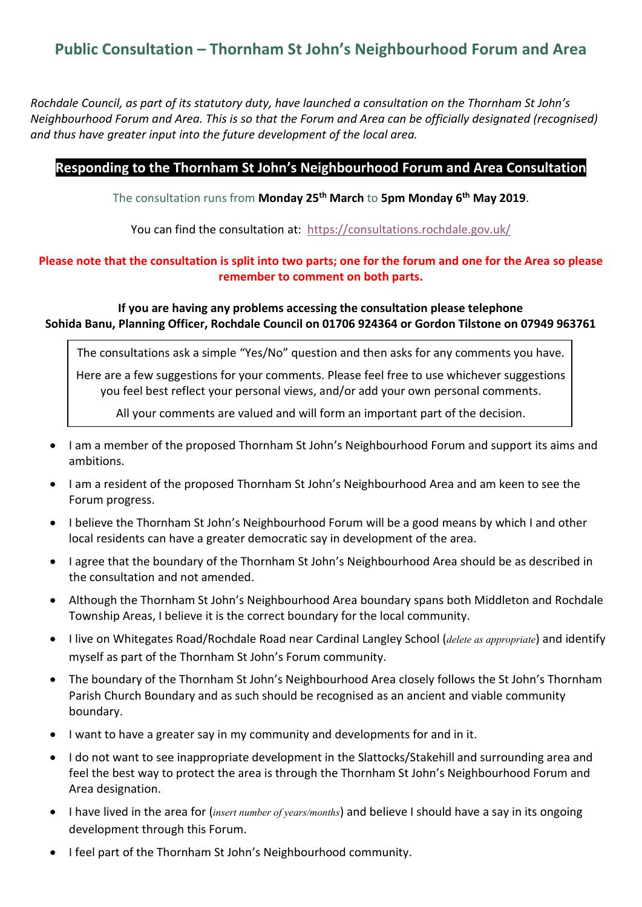## **Public Consultation – Thornham St John's Neighbourhood Forum and Area**

*Rochdale Council, as part of its statutory duty, have launched a consultation on the Thornham St John's Neighbourhood Forum and Area. This is so that the Forum and Area can be officially designated (recognised) and thus have greater input into the future development of the local area.*

## **Responding to the Thornham St John's Neighbourhood Forum and Area Consultation**

The consultation runs from **Monday 25th March** to **5pm Monday 6 th May 2019**.

You can find the consultation at: <https://consultations.rochdale.gov.uk/>

## **Please note that the consultation is split into two parts; one for the forum and one for the Area so please remember to comment on both parts.**

## **If you are having any problems accessing the consultation please telephone Sohida Banu, Planning Officer, Rochdale Council on 01706 924364 or Gordon Tilstone on 07949 963761**

The consultations ask a simple "Yes/No" question and then asks for any comments you have.

Here are a few suggestions for your comments. Please feel free to use whichever suggestions you feel best reflect your personal views, and/or add your own personal comments.

All your comments are valued and will form an important part of the decision.

- I am a member of the proposed Thornham St John's Neighbourhood Forum and support its aims and ambitions.
- I am a resident of the proposed Thornham St John's Neighbourhood Area and am keen to see the Forum progress.
- I believe the Thornham St John's Neighbourhood Forum will be a good means by which I and other local residents can have a greater democratic say in development of the area.
- I agree that the boundary of the Thornham St John's Neighbourhood Area should be as described in the consultation and not amended.
- Although the Thornham St John's Neighbourhood Area boundary spans both Middleton and Rochdale Township Areas, I believe it is the correct boundary for the local community.
- I live on Whitegates Road/Rochdale Road near Cardinal Langley School (*delete as appropriate*) and identify myself as part of the Thornham St John's Forum community.
- The boundary of the Thornham St John's Neighbourhood Area closely follows the St John's Thornham Parish Church Boundary and as such should be recognised as an ancient and viable community boundary.
- I want to have a greater say in my community and developments for and in it.
- I do not want to see inappropriate development in the Slattocks/Stakehill and surrounding area and feel the best way to protect the area is through the Thornham St John's Neighbourhood Forum and Area designation.
- I have lived in the area for (*insert number of years/months*) and believe I should have a say in its ongoing development through this Forum.
- I feel part of the Thornham St John's Neighbourhood community.